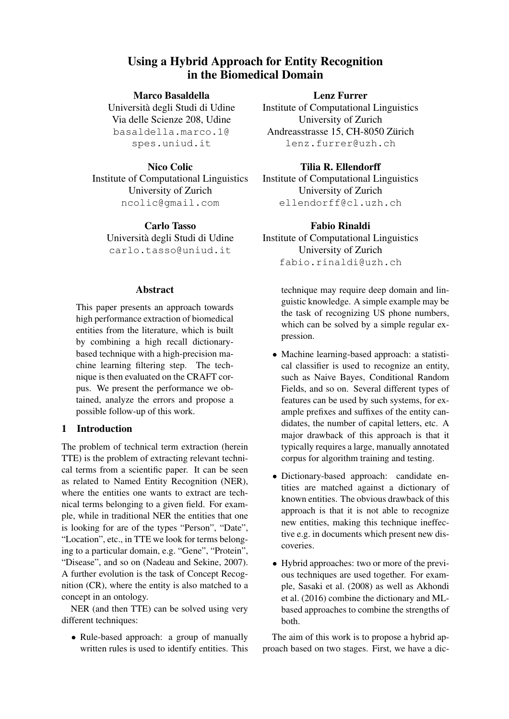# Using a Hybrid Approach for Entity Recognition in the Biomedical Domain

Marco Basaldella Universita degli Studi di Udine ` Via delle Scienze 208, Udine basaldella.marco.1@ spes.uniud.it

## Nico Colic

Institute of Computational Linguistics University of Zurich ncolic@gmail.com

Carlo Tasso Universita degli Studi di Udine ` carlo.tasso@uniud.it

#### Abstract

This paper presents an approach towards high performance extraction of biomedical entities from the literature, which is built by combining a high recall dictionarybased technique with a high-precision machine learning filtering step. The technique is then evaluated on the CRAFT corpus. We present the performance we obtained, analyze the errors and propose a possible follow-up of this work.

## 1 Introduction

The problem of technical term extraction (herein TTE) is the problem of extracting relevant technical terms from a scientific paper. It can be seen as related to Named Entity Recognition (NER), where the entities one wants to extract are technical terms belonging to a given field. For example, while in traditional NER the entities that one is looking for are of the types "Person", "Date", "Location", etc., in TTE we look for terms belonging to a particular domain, e.g. "Gene", "Protein", "Disease", and so on (Nadeau and Sekine, 2007). A further evolution is the task of Concept Recognition (CR), where the entity is also matched to a concept in an ontology.

NER (and then TTE) can be solved using very different techniques:

• Rule-based approach: a group of manually written rules is used to identify entities. This

Lenz Furrer Institute of Computational Linguistics University of Zurich Andreasstrasse 15, CH-8050 Zürich lenz.furrer@uzh.ch

## Tilia R. Ellendorff

Institute of Computational Linguistics University of Zurich ellendorff@cl.uzh.ch

## Fabio Rinaldi

Institute of Computational Linguistics University of Zurich fabio.rinaldi@uzh.ch

> technique may require deep domain and linguistic knowledge. A simple example may be the task of recognizing US phone numbers, which can be solved by a simple regular expression.

- Machine learning-based approach: a statistical classifier is used to recognize an entity, such as Naive Bayes, Conditional Random Fields, and so on. Several different types of features can be used by such systems, for example prefixes and suffixes of the entity candidates, the number of capital letters, etc. A major drawback of this approach is that it typically requires a large, manually annotated corpus for algorithm training and testing.
- Dictionary-based approach: candidate entities are matched against a dictionary of known entities. The obvious drawback of this approach is that it is not able to recognize new entities, making this technique ineffective e.g. in documents which present new discoveries.
- Hybrid approaches: two or more of the previous techniques are used together. For example, Sasaki et al. (2008) as well as Akhondi et al. (2016) combine the dictionary and MLbased approaches to combine the strengths of both.

The aim of this work is to propose a hybrid approach based on two stages. First, we have a dic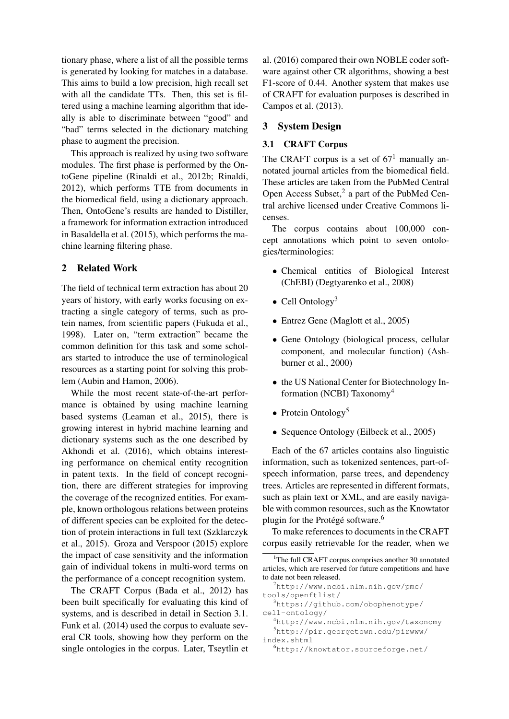tionary phase, where a list of all the possible terms is generated by looking for matches in a database. This aims to build a low precision, high recall set with all the candidate TTs. Then, this set is filtered using a machine learning algorithm that ideally is able to discriminate between "good" and "bad" terms selected in the dictionary matching phase to augment the precision.

This approach is realized by using two software modules. The first phase is performed by the OntoGene pipeline (Rinaldi et al., 2012b; Rinaldi, 2012), which performs TTE from documents in the biomedical field, using a dictionary approach. Then, OntoGene's results are handed to Distiller, a framework for information extraction introduced in Basaldella et al. (2015), which performs the machine learning filtering phase.

#### 2 Related Work

The field of technical term extraction has about 20 years of history, with early works focusing on extracting a single category of terms, such as protein names, from scientific papers (Fukuda et al., 1998). Later on, "term extraction" became the common definition for this task and some scholars started to introduce the use of terminological resources as a starting point for solving this problem (Aubin and Hamon, 2006).

While the most recent state-of-the-art performance is obtained by using machine learning based systems (Leaman et al., 2015), there is growing interest in hybrid machine learning and dictionary systems such as the one described by Akhondi et al. (2016), which obtains interesting performance on chemical entity recognition in patent texts. In the field of concept recognition, there are different strategies for improving the coverage of the recognized entities. For example, known orthologous relations between proteins of different species can be exploited for the detection of protein interactions in full text (Szklarczyk et al., 2015). Groza and Verspoor (2015) explore the impact of case sensitivity and the information gain of individual tokens in multi-word terms on the performance of a concept recognition system.

The CRAFT Corpus (Bada et al., 2012) has been built specifically for evaluating this kind of systems, and is described in detail in Section 3.1. Funk et al. (2014) used the corpus to evaluate several CR tools, showing how they perform on the single ontologies in the corpus. Later, Tseytlin et

al. (2016) compared their own NOBLE coder software against other CR algorithms, showing a best F1-score of 0.44. Another system that makes use of CRAFT for evaluation purposes is described in Campos et al. (2013).

#### 3 System Design

## 3.1 CRAFT Corpus

The CRAFT corpus is a set of  $67<sup>1</sup>$  manually annotated journal articles from the biomedical field. These articles are taken from the PubMed Central Open Access Subset,<sup>2</sup> a part of the PubMed Central archive licensed under Creative Commons licenses.

The corpus contains about 100,000 concept annotations which point to seven ontologies/terminologies:

- Chemical entities of Biological Interest (ChEBI) (Degtyarenko et al., 2008)
- Cell Ontology<sup>3</sup>
- Entrez Gene (Maglott et al., 2005)
- Gene Ontology (biological process, cellular component, and molecular function) (Ashburner et al., 2000)
- the US National Center for Biotechnology Information (NCBI) Taxonomy<sup>4</sup>
- Protein Ontology<sup>5</sup>
- Sequence Ontology (Eilbeck et al., 2005)

Each of the 67 articles contains also linguistic information, such as tokenized sentences, part-ofspeech information, parse trees, and dependency trees. Articles are represented in different formats, such as plain text or XML, and are easily navigable with common resources, such as the Knowtator plugin for the Protégé software.<sup>6</sup>

To make references to documents in the CRAFT corpus easily retrievable for the reader, when we

<sup>&</sup>lt;sup>1</sup>The full CRAFT corpus comprises another 30 annotated articles, which are reserved for future competitions and have to date not been released.

<sup>2</sup>http://www.ncbi.nlm.nih.gov/pmc/ tools/openftlist/

<sup>3</sup>https://github.com/obophenotype/ cell-ontology/

<sup>4</sup>http://www.ncbi.nlm.nih.gov/taxonomy <sup>5</sup>http://pir.georgetown.edu/pirwww/ index.shtml

<sup>6</sup>http://knowtator.sourceforge.net/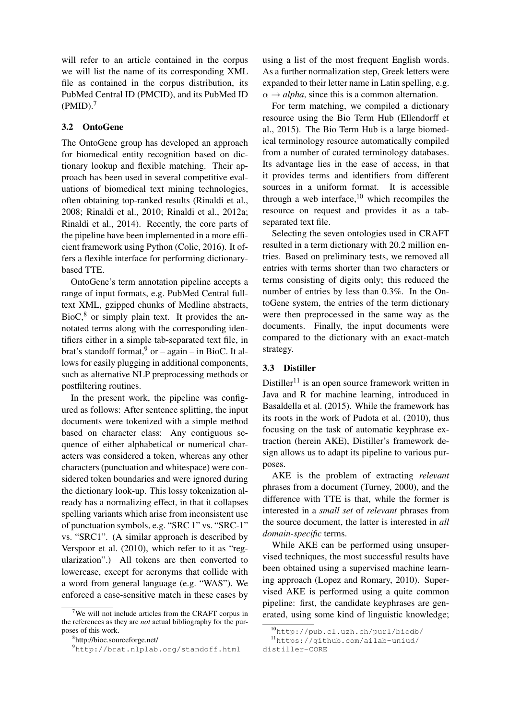will refer to an article contained in the corpus we will list the name of its corresponding XML file as contained in the corpus distribution, its PubMed Central ID (PMCID), and its PubMed ID  $(PMID).<sup>7</sup>$ 

#### 3.2 OntoGene

The OntoGene group has developed an approach for biomedical entity recognition based on dictionary lookup and flexible matching. Their approach has been used in several competitive evaluations of biomedical text mining technologies, often obtaining top-ranked results (Rinaldi et al., 2008; Rinaldi et al., 2010; Rinaldi et al., 2012a; Rinaldi et al., 2014). Recently, the core parts of the pipeline have been implemented in a more efficient framework using Python (Colic, 2016). It offers a flexible interface for performing dictionarybased TTE.

OntoGene's term annotation pipeline accepts a range of input formats, e.g. PubMed Central fulltext XML, gzipped chunks of Medline abstracts,  $BioC<sub>1</sub><sup>8</sup>$  or simply plain text. It provides the annotated terms along with the corresponding identifiers either in a simple tab-separated text file, in brat's standoff format,  $9$  or – again – in BioC. It allows for easily plugging in additional components, such as alternative NLP preprocessing methods or postfiltering routines.

In the present work, the pipeline was configured as follows: After sentence splitting, the input documents were tokenized with a simple method based on character class: Any contiguous sequence of either alphabetical or numerical characters was considered a token, whereas any other characters (punctuation and whitespace) were considered token boundaries and were ignored during the dictionary look-up. This lossy tokenization already has a normalizing effect, in that it collapses spelling variants which arise from inconsistent use of punctuation symbols, e.g. "SRC 1" vs. "SRC-1" vs. "SRC1". (A similar approach is described by Verspoor et al. (2010), which refer to it as "regularization".) All tokens are then converted to lowercase, except for acronyms that collide with a word from general language (e.g. "WAS"). We enforced a case-sensitive match in these cases by using a list of the most frequent English words. As a further normalization step, Greek letters were expanded to their letter name in Latin spelling, e.g.  $\alpha \rightarrow alpha$ , since this is a common alternation.

For term matching, we compiled a dictionary resource using the Bio Term Hub (Ellendorff et al., 2015). The Bio Term Hub is a large biomedical terminology resource automatically compiled from a number of curated terminology databases. Its advantage lies in the ease of access, in that it provides terms and identifiers from different sources in a uniform format. It is accessible through a web interface.<sup>10</sup> which recompiles the resource on request and provides it as a tabseparated text file.

Selecting the seven ontologies used in CRAFT resulted in a term dictionary with 20.2 million entries. Based on preliminary tests, we removed all entries with terms shorter than two characters or terms consisting of digits only; this reduced the number of entries by less than 0.3%. In the OntoGene system, the entries of the term dictionary were then preprocessed in the same way as the documents. Finally, the input documents were compared to the dictionary with an exact-match strategy.

#### 3.3 Distiller

Distiller<sup>11</sup> is an open source framework written in Java and R for machine learning, introduced in Basaldella et al. (2015). While the framework has its roots in the work of Pudota et al. (2010), thus focusing on the task of automatic keyphrase extraction (herein AKE), Distiller's framework design allows us to adapt its pipeline to various purposes.

AKE is the problem of extracting *relevant* phrases from a document (Turney, 2000), and the difference with TTE is that, while the former is interested in a *small set* of *relevant* phrases from the source document, the latter is interested in *all domain-specific* terms.

While AKE can be performed using unsupervised techniques, the most successful results have been obtained using a supervised machine learning approach (Lopez and Romary, 2010). Supervised AKE is performed using a quite common pipeline: first, the candidate keyphrases are generated, using some kind of linguistic knowledge;

 $7$ We will not include articles from the CRAFT corpus in the references as they are *not* actual bibliography for the purposes of this work.

<sup>8</sup> http://bioc.sourceforge.net/

<sup>9</sup>http://brat.nlplab.org/standoff.html

<sup>10</sup>http://pub.cl.uzh.ch/purl/biodb/

<sup>11</sup>https://github.com/ailab-uniud/

distiller-CORE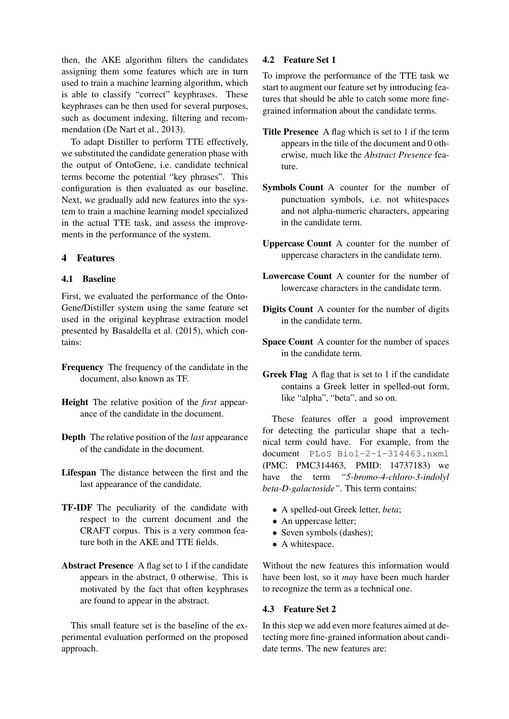then, the AKE algorithm filters the candidates assigning them some features which are in turn used to train a machine learning algorithm, which is able to classify "correct" keyphrases. These keyphrases can be then used for several purposes, such as document indexing, filtering and recommendation (De Nart et al., 2013).

To adapt Distiller to perform TTE effectively, we substituted the candidate generation phase with the output of OntoGene, i.e. candidate technical terms become the potential "key phrases". This configuration is then evaluated as our baseline. Next, we gradually add new features into the system to train a machine learning model specialized in the actual TTE task, and assess the improvements in the performance of the system.

## 4 Features

## 4.1 Baseline

First, we evaluated the performance of the Onto-Gene/Distiller system using the same feature set used in the original keyphrase extraction model presented by Basaldella et al. (2015), which contains:

- Frequency The frequency of the candidate in the document, also known as TF.
- Height The relative position of the *first* appearance of the candidate in the document.
- Depth The relative position of the *last* appearance of the candidate in the document.
- Lifespan The distance between the first and the last appearance of the candidate.
- TF-IDF The peculiarity of the candidate with respect to the current document and the CRAFT corpus. This is a very common feature both in the AKE and TTE fields.
- Abstract Presence A flag set to 1 if the candidate appears in the abstract, 0 otherwise. This is motivated by the fact that often keyphrases are found to appear in the abstract.

This small feature set is the baseline of the experimental evaluation performed on the proposed approach.

#### 4.2 Feature Set 1

To improve the performance of the TTE task we start to augment our feature set by introducing features that should be able to catch some more finegrained information about the candidate terms.

- Title Presence A flag which is set to 1 if the term appears in the title of the document and 0 otherwise, much like the *Abstract Presence* feature.
- Symbols Count A counter for the number of punctuation symbols, i.e. not whitespaces and not alpha-numeric characters, appearing in the candidate term.
- Uppercase Count A counter for the number of uppercase characters in the candidate term.
- Lowercase Count A counter for the number of lowercase characters in the candidate term.
- Digits Count A counter for the number of digits in the candidate term.
- Space Count A counter for the number of spaces in the candidate term.
- Greek Flag A flag that is set to 1 if the candidate contains a Greek letter in spelled-out form, like "alpha", "beta", and so on.

These features offer a good improvement for detecting the particular shape that a technical term could have. For example, from the document PLoS Biol-2-1-314463.nxml (PMC: PMC314463, PMID: 14737183) we have the term *"5-bromo-4-chloro-3-indolyl beta-D-galactoside"*. This term contains:

- A spelled-out Greek letter, *beta*;
- An uppercase letter;
- Seven symbols (dashes);
- A whitespace.

Without the new features this information would have been lost, so it *may* have been much harder to recognize the term as a technical one.

#### 4.3 Feature Set 2

In this step we add even more features aimed at detecting more fine-grained information about candidate terms. The new features are: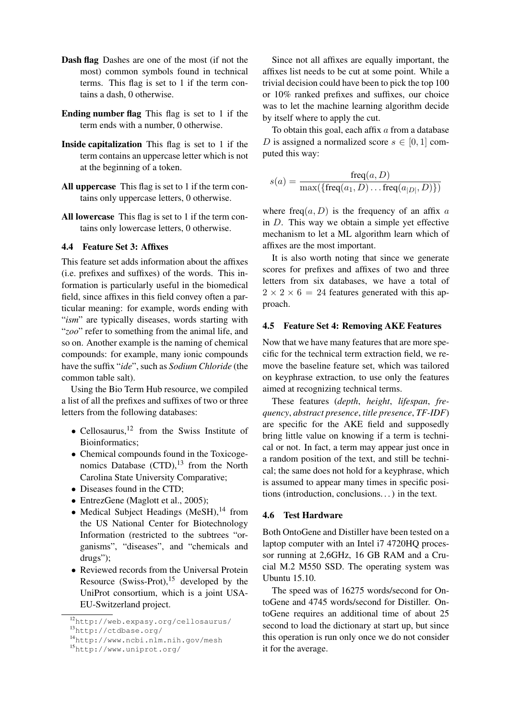- Dash flag Dashes are one of the most (if not the most) common symbols found in technical terms. This flag is set to 1 if the term contains a dash, 0 otherwise.
- Ending number flag This flag is set to 1 if the term ends with a number, 0 otherwise.
- Inside capitalization This flag is set to 1 if the term contains an uppercase letter which is not at the beginning of a token.
- All uppercase This flag is set to 1 if the term contains only uppercase letters, 0 otherwise.
- All lowercase This flag is set to 1 if the term contains only lowercase letters, 0 otherwise.

#### 4.4 Feature Set 3: Affixes

This feature set adds information about the affixes (i.e. prefixes and suffixes) of the words. This information is particularly useful in the biomedical field, since affixes in this field convey often a particular meaning: for example, words ending with "*ism*" are typically diseases, words starting with "*zoo*" refer to something from the animal life, and so on. Another example is the naming of chemical compounds: for example, many ionic compounds have the suffix "*ide*", such as *Sodium Chloride* (the common table salt).

Using the Bio Term Hub resource, we compiled a list of all the prefixes and suffixes of two or three letters from the following databases:

- Cellosaurus,<sup>12</sup> from the Swiss Institute of Bioinformatics;
- Chemical compounds found in the Toxicogenomics Database  $(CTD)$ ,<sup>13</sup> from the North Carolina State University Comparative;
- Diseases found in the CTD;
- EntrezGene (Maglott et al., 2005);
- Medical Subject Headings (MeSH), $^{14}$  from the US National Center for Biotechnology Information (restricted to the subtrees "organisms", "diseases", and "chemicals and drugs");
- Reviewed records from the Universal Protein Resource (Swiss-Prot), $^{15}$  developed by the UniProt consortium, which is a joint USA-EU-Switzerland project.

Since not all affixes are equally important, the affixes list needs to be cut at some point. While a trivial decision could have been to pick the top 100 or 10% ranked prefixes and suffixes, our choice was to let the machine learning algorithm decide by itself where to apply the cut.

To obtain this goal, each affix  $a$  from a database D is assigned a normalized score  $s \in [0, 1]$  computed this way:

$$
s(a) = \frac{\text{freq}(a, D)}{\max(\{\text{freq}(a_1, D) \dots \text{freq}(a_{|D|}, D)\})}
$$

where freq(a, D) is the frequency of an affix a in  $D$ . This way we obtain a simple yet effective mechanism to let a ML algorithm learn which of affixes are the most important.

It is also worth noting that since we generate scores for prefixes and affixes of two and three letters from six databases, we have a total of  $2 \times 2 \times 6 = 24$  features generated with this approach.

#### 4.5 Feature Set 4: Removing AKE Features

Now that we have many features that are more specific for the technical term extraction field, we remove the baseline feature set, which was tailored on keyphrase extraction, to use only the features aimed at recognizing technical terms.

These features (*depth*, *height*, *lifespan*, *frequency*, *abstract presence*, *title presence*, *TF-IDF*) are specific for the AKE field and supposedly bring little value on knowing if a term is technical or not. In fact, a term may appear just once in a random position of the text, and still be technical; the same does not hold for a keyphrase, which is assumed to appear many times in specific positions (introduction, conclusions. . . ) in the text.

#### 4.6 Test Hardware

Both OntoGene and Distiller have been tested on a laptop computer with an Intel i7 4720HQ processor running at 2,6GHz, 16 GB RAM and a Crucial M.2 M550 SSD. The operating system was Ubuntu 15.10.

The speed was of 16275 words/second for OntoGene and 4745 words/second for Distiller. OntoGene requires an additional time of about 25 second to load the dictionary at start up, but since this operation is run only once we do not consider it for the average.

<sup>12</sup>http://web.expasy.org/cellosaurus/

<sup>13</sup>http://ctdbase.org/

<sup>14</sup>http://www.ncbi.nlm.nih.gov/mesh

<sup>15</sup>http://www.uniprot.org/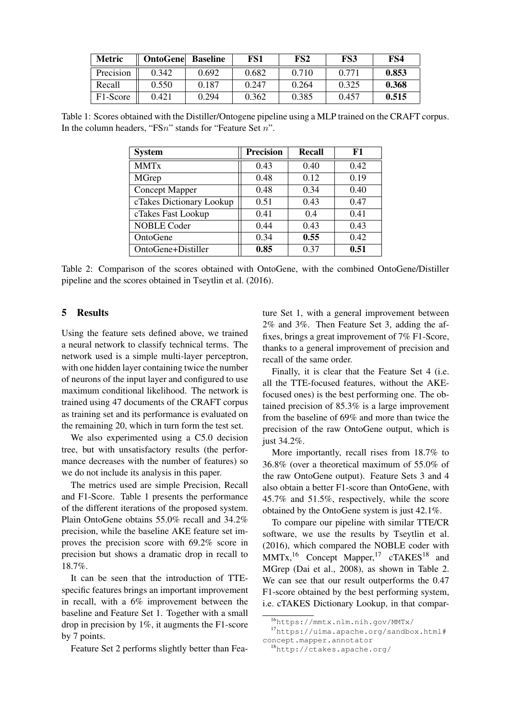| <b>Metric</b> | <b>OntoGene</b> | <b>Baseline</b> | FS1   | FS <sub>2</sub> | FS3   | FS4   |
|---------------|-----------------|-----------------|-------|-----------------|-------|-------|
| Precision     | 0.342           | 0.692           | 0.682 | 0.710           | 0.771 | 0.853 |
| Recall        | 0.550           | 0.187           | 0.247 | 0.264           | 0.325 | 0.368 |
| F1-Score      | 0.421           | 0.294           | 0.362 | 0.385           | 0.457 | 0.515 |

Table 1: Scores obtained with the Distiller/Ontogene pipeline using a MLP trained on the CRAFT corpus. In the column headers, "FSn" stands for "Feature Set n".

| <b>System</b>            | <b>Precision</b> | <b>Recall</b> | F1   |
|--------------------------|------------------|---------------|------|
| <b>MMTx</b>              | 0.43             | 0.40          | 0.42 |
| MGrep                    | 0.48             | 0.12          | 0.19 |
| Concept Mapper           | 0.48             | 0.34          | 0.40 |
| cTakes Dictionary Lookup | 0.51             | 0.43          | 0.47 |
| cTakes Fast Lookup       | 0.41             | 0.4           | 0.41 |
| <b>NOBLE Coder</b>       | 0.44             | 0.43          | 0.43 |
| OntoGene                 | 0.34             | 0.55          | 0.42 |
| OntoGene+Distiller       | 0.85             | 0.37          | 0.51 |

Table 2: Comparison of the scores obtained with OntoGene, with the combined OntoGene/Distiller pipeline and the scores obtained in Tseytlin et al. (2016).

#### 5 Results

Using the feature sets defined above, we trained a neural network to classify technical terms. The network used is a simple multi-layer perceptron, with one hidden layer containing twice the number of neurons of the input layer and configured to use maximum conditional likelihood. The network is trained using 47 documents of the CRAFT corpus as training set and its performance is evaluated on the remaining 20, which in turn form the test set.

We also experimented using a C5.0 decision tree, but with unsatisfactory results (the performance decreases with the number of features) so we do not include its analysis in this paper.

The metrics used are simple Precision, Recall and F1-Score. Table 1 presents the performance of the different iterations of the proposed system. Plain OntoGene obtains 55.0% recall and 34.2% precision, while the baseline AKE feature set improves the precision score with 69.2% score in precision but shows a dramatic drop in recall to 18.7%.

It can be seen that the introduction of TTEspecific features brings an important improvement in recall, with a 6% improvement between the baseline and Feature Set 1. Together with a small drop in precision by 1%, it augments the F1-score by 7 points.

Feature Set 2 performs slightly better than Fea-

ture Set 1, with a general improvement between 2% and 3%. Then Feature Set 3, adding the affixes, brings a great improvement of 7% F1-Score, thanks to a general improvement of precision and recall of the same order.

Finally, it is clear that the Feature Set 4 (i.e. all the TTE-focused features, without the AKEfocused ones) is the best performing one. The obtained precision of 85.3% is a large improvement from the baseline of 69% and more than twice the precision of the raw OntoGene output, which is just 34.2%.

More importantly, recall rises from 18.7% to 36.8% (over a theoretical maximum of 55.0% of the raw OntoGene output). Feature Sets 3 and 4 also obtain a better F1-score than OntoGene, with 45.7% and 51.5%, respectively, while the score obtained by the OntoGene system is just 42.1%.

To compare our pipeline with similar TTE/CR software, we use the results by Tseytlin et al. (2016), which compared the NOBLE coder with  $MMTx$ ,<sup>16</sup> Concept Mapper,<sup>17</sup> cTAKES<sup>18</sup> and MGrep (Dai et al., 2008), as shown in Table 2. We can see that our result outperforms the 0.47 F1-score obtained by the best performing system, i.e. cTAKES Dictionary Lookup, in that compar-

<sup>16</sup>https://mmtx.nlm.nih.gov/MMTx/

<sup>17</sup>https://uima.apache.org/sandbox.html# concept.mapper.annotator

<sup>18</sup>http://ctakes.apache.org/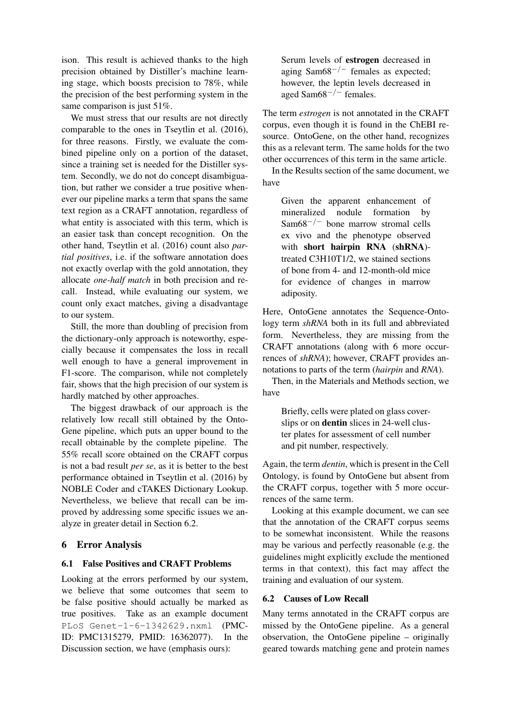ison. This result is achieved thanks to the high precision obtained by Distiller's machine learning stage, which boosts precision to 78%, while the precision of the best performing system in the same comparison is just 51%.

We must stress that our results are not directly comparable to the ones in Tseytlin et al. (2016), for three reasons. Firstly, we evaluate the combined pipeline only on a portion of the dataset, since a training set is needed for the Distiller system. Secondly, we do not do concept disambiguation, but rather we consider a true positive whenever our pipeline marks a term that spans the same text region as a CRAFT annotation, regardless of what entity is associated with this term, which is an easier task than concept recognition. On the other hand, Tseytlin et al. (2016) count also *partial positives*, i.e. if the software annotation does not exactly overlap with the gold annotation, they allocate *one-half match* in both precision and recall. Instead, while evaluating our system, we count only exact matches, giving a disadvantage to our system.

Still, the more than doubling of precision from the dictionary-only approach is noteworthy, especially because it compensates the loss in recall well enough to have a general improvement in F1-score. The comparison, while not completely fair, shows that the high precision of our system is hardly matched by other approaches.

The biggest drawback of our approach is the relatively low recall still obtained by the Onto-Gene pipeline, which puts an upper bound to the recall obtainable by the complete pipeline. The 55% recall score obtained on the CRAFT corpus is not a bad result *per se*, as it is better to the best performance obtained in Tseytlin et al. (2016) by NOBLE Coder and cTAKES Dictionary Lookup. Nevertheless, we believe that recall can be improved by addressing some specific issues we analyze in greater detail in Section 6.2.

## 6 Error Analysis

## 6.1 False Positives and CRAFT Problems

Looking at the errors performed by our system, we believe that some outcomes that seem to be false positive should actually be marked as true positives. Take as an example document PLoS Genet-1-6-1342629.nxml (PMC-ID: PMC1315279, PMID: 16362077). In the Discussion section, we have (emphasis ours):

Serum levels of estrogen decreased in aging Sam $68^{-/-}$  females as expected: however, the leptin levels decreased in aged Sam68−/<sup>−</sup> females.

The term *estrogen* is not annotated in the CRAFT corpus, even though it is found in the ChEBI resource. OntoGene, on the other hand, recognizes this as a relevant term. The same holds for the two other occurrences of this term in the same article.

In the Results section of the same document, we have

> Given the apparent enhancement of mineralized nodule formation by Sam68−/<sup>−</sup> bone marrow stromal cells ex vivo and the phenotype observed with short hairpin RNA (shRNA) treated C3H10T1/2, we stained sections of bone from 4- and 12-month-old mice for evidence of changes in marrow adiposity.

Here, OntoGene annotates the Sequence-Ontology term *shRNA* both in its full and abbreviated form. Nevertheless, they are missing from the CRAFT annotations (along with 6 more occurrences of *shRNA*); however, CRAFT provides annotations to parts of the term (*hairpin* and *RNA*).

Then, in the Materials and Methods section, we have

> Briefly, cells were plated on glass coverslips or on dentin slices in 24-well cluster plates for assessment of cell number and pit number, respectively.

Again, the term *dentin*, which is present in the Cell Ontology, is found by OntoGene but absent from the CRAFT corpus, together with 5 more occurrences of the same term.

Looking at this example document, we can see that the annotation of the CRAFT corpus seems to be somewhat inconsistent. While the reasons may be various and perfectly reasonable (e.g. the guidelines might explicitly exclude the mentioned terms in that context), this fact may affect the training and evaluation of our system.

## 6.2 Causes of Low Recall

Many terms annotated in the CRAFT corpus are missed by the OntoGene pipeline. As a general observation, the OntoGene pipeline – originally geared towards matching gene and protein names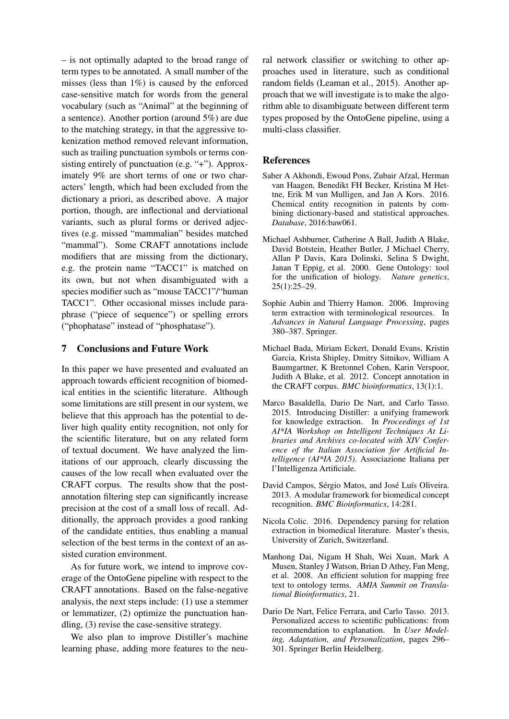– is not optimally adapted to the broad range of term types to be annotated. A small number of the misses (less than  $1\%$ ) is caused by the enforced case-sensitive match for words from the general vocabulary (such as "Animal" at the beginning of a sentence). Another portion (around 5%) are due to the matching strategy, in that the aggressive tokenization method removed relevant information, such as trailing punctuation symbols or terms consisting entirely of punctuation (e.g. "+"). Approximately 9% are short terms of one or two characters' length, which had been excluded from the dictionary a priori, as described above. A major portion, though, are inflectional and derviational variants, such as plural forms or derived adjectives (e.g. missed "mammalian" besides matched "mammal"). Some CRAFT annotations include modifiers that are missing from the dictionary, e.g. the protein name "TACC1" is matched on its own, but not when disambiguated with a species modifier such as "mouse TACC1"/"human TACC1". Other occasional misses include paraphrase ("piece of sequence") or spelling errors ("phophatase" instead of "phosphatase").

#### 7 Conclusions and Future Work

In this paper we have presented and evaluated an approach towards efficient recognition of biomedical entities in the scientific literature. Although some limitations are still present in our system, we believe that this approach has the potential to deliver high quality entity recognition, not only for the scientific literature, but on any related form of textual document. We have analyzed the limitations of our approach, clearly discussing the causes of the low recall when evaluated over the CRAFT corpus. The results show that the postannotation filtering step can significantly increase precision at the cost of a small loss of recall. Additionally, the approach provides a good ranking of the candidate entities, thus enabling a manual selection of the best terms in the context of an assisted curation environment.

As for future work, we intend to improve coverage of the OntoGene pipeline with respect to the CRAFT annotations. Based on the false-negative analysis, the next steps include: (1) use a stemmer or lemmatizer, (2) optimize the punctuation handling, (3) revise the case-sensitive strategy.

We also plan to improve Distiller's machine learning phase, adding more features to the neural network classifier or switching to other approaches used in literature, such as conditional random fields (Leaman et al., 2015). Another approach that we will investigate is to make the algorithm able to disambiguate between different term types proposed by the OntoGene pipeline, using a multi-class classifier.

#### **References**

- Saber A Akhondi, Ewoud Pons, Zubair Afzal, Herman van Haagen, Benedikt FH Becker, Kristina M Hettne, Erik M van Mulligen, and Jan A Kors. 2016. Chemical entity recognition in patents by combining dictionary-based and statistical approaches. *Database*, 2016:baw061.
- Michael Ashburner, Catherine A Ball, Judith A Blake, David Botstein, Heather Butler, J Michael Cherry, Allan P Davis, Kara Dolinski, Selina S Dwight, Janan T Eppig, et al. 2000. Gene Ontology: tool for the unification of biology. *Nature genetics*, 25(1):25–29.
- Sophie Aubin and Thierry Hamon. 2006. Improving term extraction with terminological resources. In *Advances in Natural Language Processing*, pages 380–387. Springer.
- Michael Bada, Miriam Eckert, Donald Evans, Kristin Garcia, Krista Shipley, Dmitry Sitnikov, William A Baumgartner, K Bretonnel Cohen, Karin Verspoor, Judith A Blake, et al. 2012. Concept annotation in the CRAFT corpus. *BMC bioinformatics*, 13(1):1.
- Marco Basaldella, Dario De Nart, and Carlo Tasso. 2015. Introducing Distiller: a unifying framework for knowledge extraction. In *Proceedings of 1st AI\*IA Workshop on Intelligent Techniques At Libraries and Archives co-located with XIV Conference of the Italian Association for Artificial Intelligence (AI\*IA 2015)*. Associazione Italiana per l'Intelligenza Artificiale.
- David Campos, Sérgio Matos, and José Luís Oliveira. 2013. A modular framework for biomedical concept recognition. *BMC Bioinformatics*, 14:281.
- Nicola Colic. 2016. Dependency parsing for relation extraction in biomedical literature. Master's thesis, University of Zurich, Switzerland.
- Manhong Dai, Nigam H Shah, Wei Xuan, Mark A Musen, Stanley J Watson, Brian D Athey, Fan Meng, et al. 2008. An efficient solution for mapping free text to ontology terms. *AMIA Summit on Translational Bioinformatics*, 21.
- Dario De Nart, Felice Ferrara, and Carlo Tasso. 2013. Personalized access to scientific publications: from recommendation to explanation. In *User Modeling, Adaptation, and Personalization*, pages 296– 301. Springer Berlin Heidelberg.